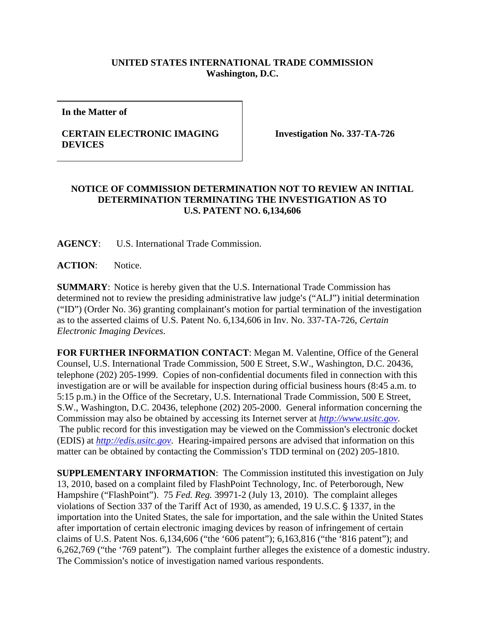## **UNITED STATES INTERNATIONAL TRADE COMMISSION Washington, D.C.**

**In the Matter of** 

## **CERTAIN ELECTRONIC IMAGING DEVICES**

**Investigation No. 337-TA-726** 

## **NOTICE OF COMMISSION DETERMINATION NOT TO REVIEW AN INITIAL DETERMINATION TERMINATING THE INVESTIGATION AS TO U.S. PATENT NO. 6,134,606**

**AGENCY**: U.S. International Trade Commission.

ACTION: Notice.

**SUMMARY**: Notice is hereby given that the U.S. International Trade Commission has determined not to review the presiding administrative law judge's ("ALJ") initial determination  $("ID")$  (Order No. 36) granting complainant's motion for partial termination of the investigation as to the asserted claims of U.S. Patent No. 6,134,606 in Inv. No. 337-TA-726, *Certain Electronic Imaging Devices*.

**FOR FURTHER INFORMATION CONTACT**: Megan M. Valentine, Office of the General Counsel, U.S. International Trade Commission, 500 E Street, S.W., Washington, D.C. 20436, telephone (202) 205-1999. Copies of non-confidential documents filed in connection with this investigation are or will be available for inspection during official business hours (8:45 a.m. to 5:15 p.m.) in the Office of the Secretary, U.S. International Trade Commission, 500 E Street, S.W., Washington, D.C. 20436, telephone (202) 205-2000. General information concerning the Commission may also be obtained by accessing its Internet server at *http://www.usitc.gov*. The public record for this investigation may be viewed on the Commission's electronic docket (EDIS) at *http://edis.usitc.gov*. Hearing-impaired persons are advised that information on this matter can be obtained by contacting the Commission's TDD terminal on (202) 205-1810.

**SUPPLEMENTARY INFORMATION**: The Commission instituted this investigation on July 13, 2010, based on a complaint filed by FlashPoint Technology, Inc. of Peterborough, New Hampshire ("FlashPoint"). 75 *Fed. Reg.* 39971-2 (July 13, 2010). The complaint alleges violations of Section 337 of the Tariff Act of 1930, as amended, 19 U.S.C. § 1337, in the importation into the United States, the sale for importation, and the sale within the United States after importation of certain electronic imaging devices by reason of infringement of certain claims of U.S. Patent Nos. 6,134,606 ("the '606 patent"); 6,163,816 ("the '816 patent"); and 6,262,769 ("the '769 patent"). The complaint further alleges the existence of a domestic industry. The Commission's notice of investigation named various respondents.